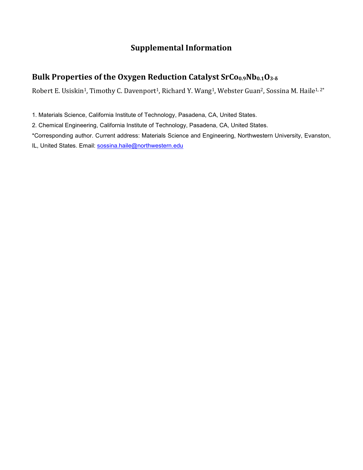## **Supplemental Information**

## **Bulk Properties of the Oxygen Reduction Catalyst SrCo0.9Nb0.1O3-δ**

Robert E. Usiskin<sup>1</sup>, Timothy C. Davenport<sup>1</sup>, Richard Y. Wang<sup>1</sup>, Webster Guan<sup>2</sup>, Sossina M. Haile<sup>1, 2\*</sup>

1. Materials Science, California Institute of Technology, Pasadena, CA, United States.

2. Chemical Engineering, California Institute of Technology, Pasadena, CA, United States.

\*Corresponding author. Current address: Materials Science and Engineering, Northwestern University, Evanston,

IL, United States. Email: sossina.haile@northwestern.edu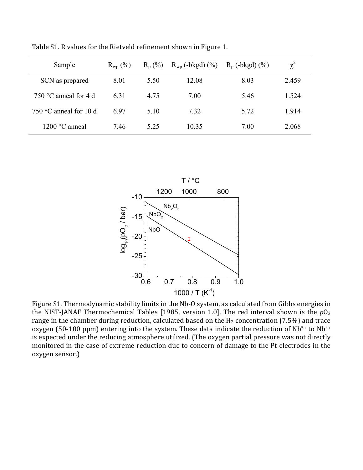| Sample                         | $R_{wp}$ (%) | $R_p$ (%) | $R_{wp}$ (-bkgd) $(\%)$ | $R_p$ (-bkgd) $(\% )$ | $\chi^2$ |
|--------------------------------|--------------|-----------|-------------------------|-----------------------|----------|
| SCN as prepared                | 8.01         | 5.50      | 12.08                   | 8.03                  | 2.459    |
| 750 $\degree$ C anneal for 4 d | 6.31         | 4.75      | 7.00                    | 5.46                  | 1.524    |
| 750 °C anneal for 10 d         | 6.97         | 5.10      | 7.32                    | 5.72                  | 1.914    |
| $1200 °C$ anneal               | 7.46         | 5 25      | 10.35                   | 7.00                  | 2.068    |

Table S1. R values for the Rietveld refinement shown in Figure 1.



Figure S1. Thermodynamic stability limits in the Nb-O system, as calculated from Gibbs energies in the NIST-JANAF Thermochemical Tables [1985, version 1.0]. The red interval shown is the  $pO<sub>2</sub>$ range in the chamber during reduction, calculated based on the  $H_2$  concentration (7.5%) and trace oxygen (50-100 ppm) entering into the system. These data indicate the reduction of  $Nb<sup>5+</sup>$  to  $Nb<sup>4+</sup>$ is expected under the reducing atmosphere utilized. (The oxygen partial pressure was not directly monitored in the case of extreme reduction due to concern of damage to the Pt electrodes in the oxygen sensor.)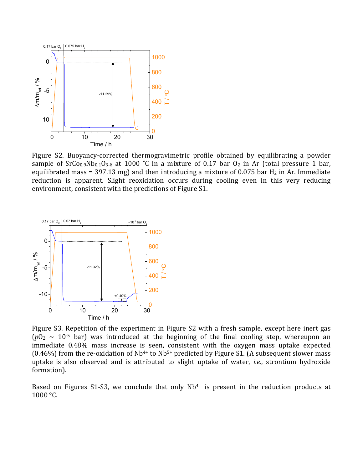

Figure S2. Buoyancy-corrected thermogravimetric profile obtained by equilibrating a powder sample of  $SrCo<sub>0.9</sub>Nb<sub>0.1</sub>O<sub>3-δ</sub>$  at 1000 °C in a mixture of 0.17 bar  $O<sub>2</sub>$  in Ar (total pressure 1 bar, equilibrated mass = 397.13 mg) and then introducing a mixture of 0.075 bar  $H_2$  in Ar. Immediate reduction is apparent. Slight reoxidation occurs during cooling even in this very reducing environment, consistent with the predictions of Figure S1.



Figure S3. Repetition of the experiment in Figure S2 with a fresh sample, except here inert gas  $(p0<sub>2</sub> ~ 10<sup>-5</sup>$  bar) was introduced at the beginning of the final cooling step, whereupon an immediate 0.48% mass increase is seen, consistent with the oxygen mass uptake expected (0.46%) from the re-oxidation of Nb<sup>4+</sup> to Nb<sup>5+</sup> predicted by Figure S1. (A subsequent slower mass uptake is also observed and is attributed to slight uptake of water, *i.e.*, strontium hydroxide formation).

Based on Figures S1-S3, we conclude that only  $Nb^{4+}$  is present in the reduction products at 1000 °C.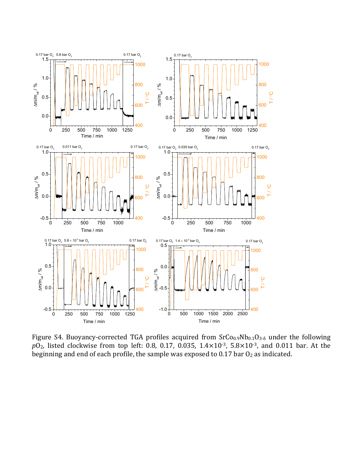

Figure S4. Buoyancy-corrected TGA profiles acquired from  $SrCo<sub>0.9</sub>Nb<sub>0.1</sub>O<sub>3-δ</sub>$  under the following *p*O2, listed clockwise from top left: 0.8, 0.17, 0.035, 1.4×10-3, 5.8×10-3, and 0.011 bar. At the beginning and end of each profile, the sample was exposed to 0.17 bar  $O<sub>2</sub>$  as indicated.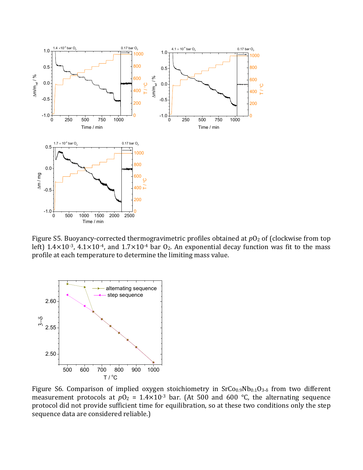

Figure S5. Buoyancy-corrected thermogravimetric profiles obtained at  $p0<sub>2</sub>$  of (clockwise from top left)  $1.4 \times 10^{-3}$ ,  $4.1 \times 10^{-4}$ , and  $1.7 \times 10^{-4}$  bar  $0_2$ . An exponential decay function was fit to the mass profile at each temperature to determine the limiting mass value.



Figure S6. Comparison of implied oxygen stoichiometry in  $SrCo<sub>0.9</sub>Nb<sub>0.1</sub>O<sub>3-δ</sub>$  from two different measurement protocols at  $pO_2 = 1.4 \times 10^{-3}$  bar. (At 500 and 600 °C, the alternating sequence protocol did not provide sufficient time for equilibration, so at these two conditions only the step sequence data are considered reliable.)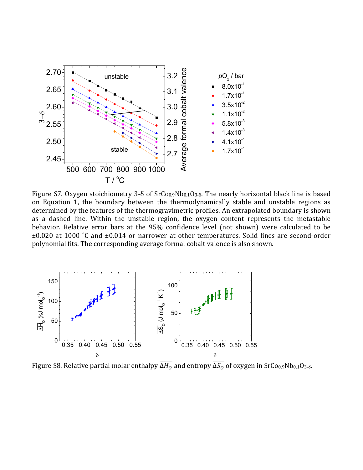

Figure S7. Oxygen stoichiometry 3- $\delta$  of SrCo<sub>0.9</sub>Nb<sub>0.1</sub>O<sub>3- $\delta$ </sub>. The nearly horizontal black line is based on Equation 1, the boundary between the thermodynamically stable and unstable regions as determined by the features of the thermogravimetric profiles. An extrapolated boundary is shown as a dashed line. Within the unstable region, the oxygen content represents the metastable behavior. Relative error bars at the 95% confidence level (not shown) were calculated to be ±0.020 at 1000 ˚C and ±0.014 or narrower at other temperatures. Solid lines are second-order polynomial fits. The corresponding average formal cobalt valence is also shown.



Figure S8. Relative partial molar enthalpy  $\overline{\Delta H_O}$  and entropy  $\overline{\Delta S_O}$  of oxygen in SrCo $_{0.9}$ Nb $_{0.1}$ O $_{3\text{-}\delta}$ .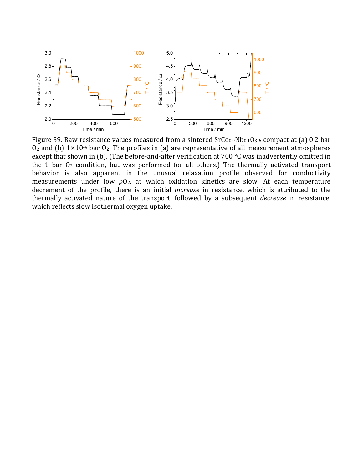

Figure S9. Raw resistance values measured from a sintered  $SrCo<sub>0.9</sub>Nb<sub>0.1</sub>O<sub>3-δ</sub>$  compact at (a) 0.2 bar  $O_2$  and (b)  $1\times10^{-4}$  bar  $O_2$ . The profiles in (a) are representative of all measurement atmospheres except that shown in (b). (The before-and-after verification at 700 °C was inadvertently omitted in the 1 bar  $O<sub>2</sub>$  condition, but was performed for all others.) The thermally activated transport behavior is also apparent in the unusual relaxation profile observed for conductivity measurements under low  $pO<sub>2</sub>$ , at which oxidation kinetics are slow. At each temperature decrement of the profile, there is an initial *increase* in resistance, which is attributed to the thermally activated nature of the transport, followed by a subsequent *decrease* in resistance, which reflects slow isothermal oxygen uptake.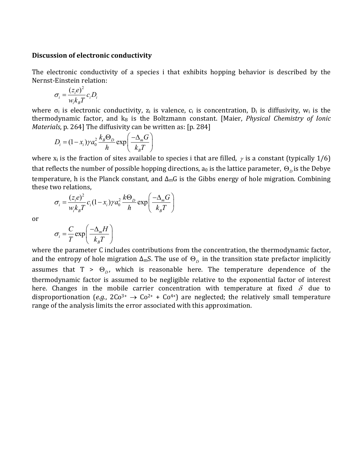## **Discussion of electronic conductivity**

The electronic conductivity of a species i that exhibits hopping behavior is described by the Nernst-Einstein relation:

$$
\sigma_i = \frac{(z_i e)^2}{w_i k_B T} c_i D_i
$$

where  $\sigma_i$  is electronic conductivity,  $z_i$  is valence,  $c_i$  is concentration,  $D_i$  is diffusivity,  $w_i$  is the thermodynamic factor, and  $k_B$  is the Boltzmann constant. [Maier, *Physical Chemistry of Ionic Materials*, p. 264] The diffusivity can be written as: [p. 284]

$$
D_i = (1 - x_i) \gamma a_0^2 \frac{k_B \Theta_D}{h} \exp\left(\frac{-\Delta_m G}{k_B T}\right)
$$

where  $x_i$  is the fraction of sites available to species i that are filled,  $\gamma$  is a constant (typically 1/6) that reflects the number of possible hopping directions, a<sub>0</sub> is the lattice parameter,  $\Theta_{D}$  is the Debye temperature, h is the Planck constant, and  $\Delta_{m}G$  is the Gibbs energy of hole migration. Combining these two relations,

$$
\sigma_i = \frac{(z_i e)^2}{w_i k_B T} c_i (1 - x_i) \gamma a_0^2 \frac{k \Theta_D}{h} \exp\left(\frac{-\Delta_m G}{k_B T}\right)
$$

or

$$
\sigma_i = \frac{C}{T} \exp\left(\frac{-\Delta_m H}{k_B T}\right)
$$

where the parameter C includes contributions from the concentration, the thermodynamic factor, and the entropy of hole migration  $\Delta_m$ S. The use of  $\Theta_D$  in the transition state prefactor implicitly assumes that  $T > \Theta_{D}$ , which is reasonable here. The temperature dependence of the thermodynamic factor is assumed to be negligible relative to the exponential factor of interest here. Changes in the mobile carrier concentration with temperature at fixed  $\delta$  due to disproportionation (*e.g.*,  $2Co^{3+} \rightarrow Co^{2+} + Co^{4+}$ ) are neglected; the relatively small temperature range of the analysis limits the error associated with this approximation.